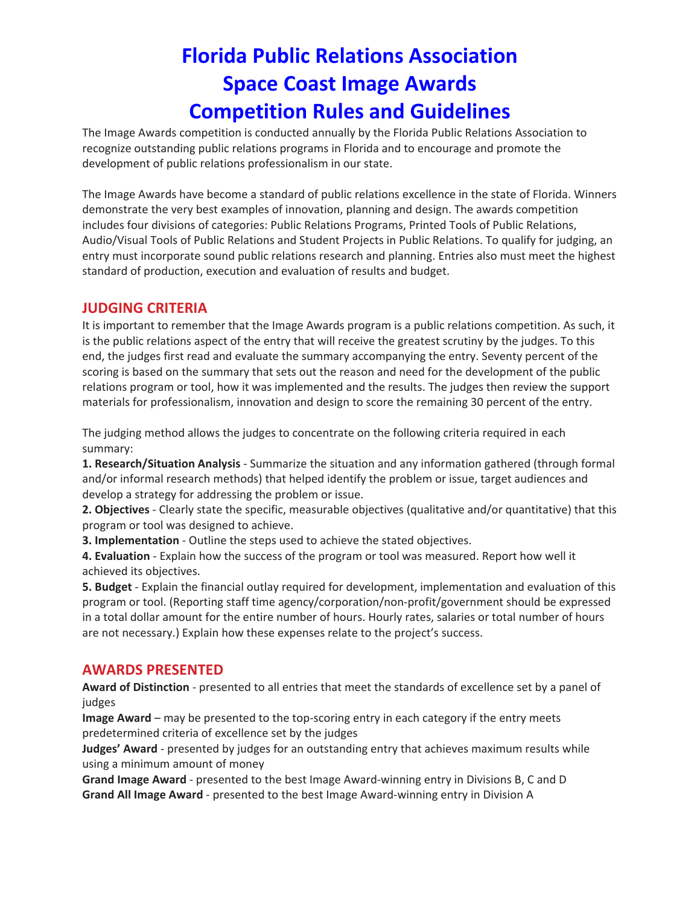The Image Awards competition is conducted annually by the Florida Public Relations Association to recognize outstanding public relations programs in Florida and to encourage and promote the development of public relations professionalism in our state.

The Image Awards have become a standard of public relations excellence in the state of Florida. Winners demonstrate the very best examples of innovation, planning and design. The awards competition includes four divisions of categories: Public Relations Programs, Printed Tools of Public Relations, Audio/Visual Tools of Public Relations and Student Projects in Public Relations. To qualify for judging, an entry must incorporate sound public relations research and planning. Entries also must meet the highest standard of production, execution and evaluation of results and budget.

## **JUDGING CRITERIA**

It is important to remember that the Image Awards program is a public relations competition. As such, it is the public relations aspect of the entry that will receive the greatest scrutiny by the judges. To this end, the judges first read and evaluate the summary accompanying the entry. Seventy percent of the scoring is based on the summary that sets out the reason and need for the development of the public relations program or tool, how it was implemented and the results. The judges then review the support materials for professionalism, innovation and design to score the remaining 30 percent of the entry.

The judging method allows the judges to concentrate on the following criteria required in each summary:

**1. Research/Situation Analysis** ‐ Summarize the situation and any information gathered (through formal and/or informal research methods) that helped identify the problem or issue, target audiences and develop a strategy for addressing the problem or issue.

**2. Objectives** ‐ Clearly state the specific, measurable objectives (qualitative and/or quantitative) that this program or tool was designed to achieve.

**3. Implementation** ‐ Outline the steps used to achieve the stated objectives.

**4. Evaluation** ‐ Explain how the success of the program or tool was measured. Report how well it achieved its objectives.

**5. Budget** ‐ Explain the financial outlay required for development, implementation and evaluation of this program or tool. (Reporting staff time agency/corporation/non‐profit/government should be expressed in a total dollar amount for the entire number of hours. Hourly rates, salaries or total number of hours are not necessary.) Explain how these expenses relate to the project's success.

#### **AWARDS PRESENTED**

**Award of Distinction** ‐ presented to all entries that meet the standards of excellence set by a panel of judges

**Image Award** – may be presented to the top‐scoring entry in each category if the entry meets predetermined criteria of excellence set by the judges

**Judges' Award** ‐ presented by judges for an outstanding entry that achieves maximum results while using a minimum amount of money

**Grand Image Award** ‐ presented to the best Image Award‐winning entry in Divisions B, C and D **Grand All Image Award** ‐ presented to the best Image Award‐winning entry in Division A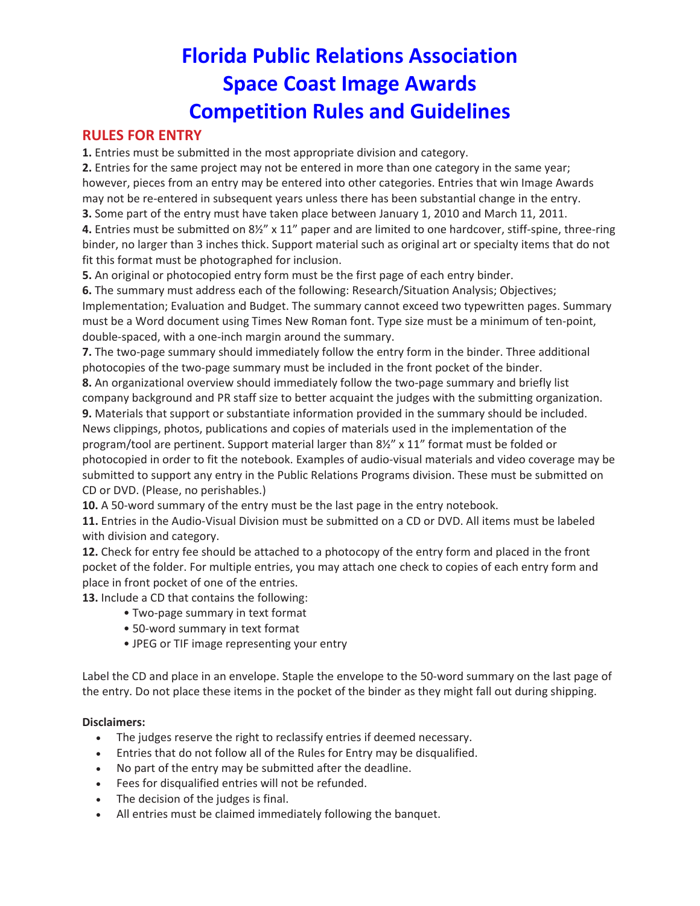## **RULES FOR ENTRY**

**1.** Entries must be submitted in the most appropriate division and category.

**2.** Entries for the same project may not be entered in more than one category in the same year; however, pieces from an entry may be entered into other categories. Entries that win Image Awards may not be re-entered in subsequent years unless there has been substantial change in the entry.

**3.** Some part of the entry must have taken place between January 1, 2010 and March 11, 2011. **4.** Entries must be submitted on 8½" x 11" paper and are limited to one hardcover, stiff‐spine, three‐ring binder, no larger than 3 inches thick. Support material such as original art or specialty items that do not

fit this format must be photographed for inclusion.

**5.** An original or photocopied entry form must be the first page of each entry binder.

**6.** The summary must address each of the following: Research/Situation Analysis; Objectives; Implementation; Evaluation and Budget. The summary cannot exceed two typewritten pages. Summary must be a Word document using Times New Roman font. Type size must be a minimum of ten-point, double‐spaced, with a one‐inch margin around the summary.

**7.** The two-page summary should immediately follow the entry form in the binder. Three additional photocopies of the two-page summary must be included in the front pocket of the binder.

8. An organizational overview should immediately follow the two-page summary and briefly list company background and PR staff size to better acquaint the judges with the submitting organization. **9.** Materials that support or substantiate information provided in the summary should be included. News clippings, photos, publications and copies of materials used in the implementation of the program/tool are pertinent. Support material larger than 8½" x 11" format must be folded or photocopied in order to fit the notebook. Examples of audio‐visual materials and video coverage may be submitted to support any entry in the Public Relations Programs division. These must be submitted on CD or DVD. (Please, no perishables.)

10. A 50-word summary of the entry must be the last page in the entry notebook.

**11.** Entries in the Audio‐Visual Division must be submitted on a CD or DVD. All items must be labeled with division and category.

**12.** Check for entry fee should be attached to a photocopy of the entry form and placed in the front pocket of the folder. For multiple entries, you may attach one check to copies of each entry form and place in front pocket of one of the entries.

**13.** Include a CD that contains the following:

- Two‐page summary in text format
- 50‐word summary in text format
- JPEG or TIF image representing your entry

Label the CD and place in an envelope. Staple the envelope to the 50‐word summary on the last page of the entry. Do not place these items in the pocket of the binder as they might fall out during shipping.

#### **Disclaimers:**

- The judges reserve the right to reclassify entries if deemed necessary.
- Entries that do not follow all of the Rules for Entry may be disqualified.
- No part of the entry may be submitted after the deadline.
- Fees for disqualified entries will not be refunded.
- The decision of the judges is final.
- All entries must be claimed immediately following the banquet.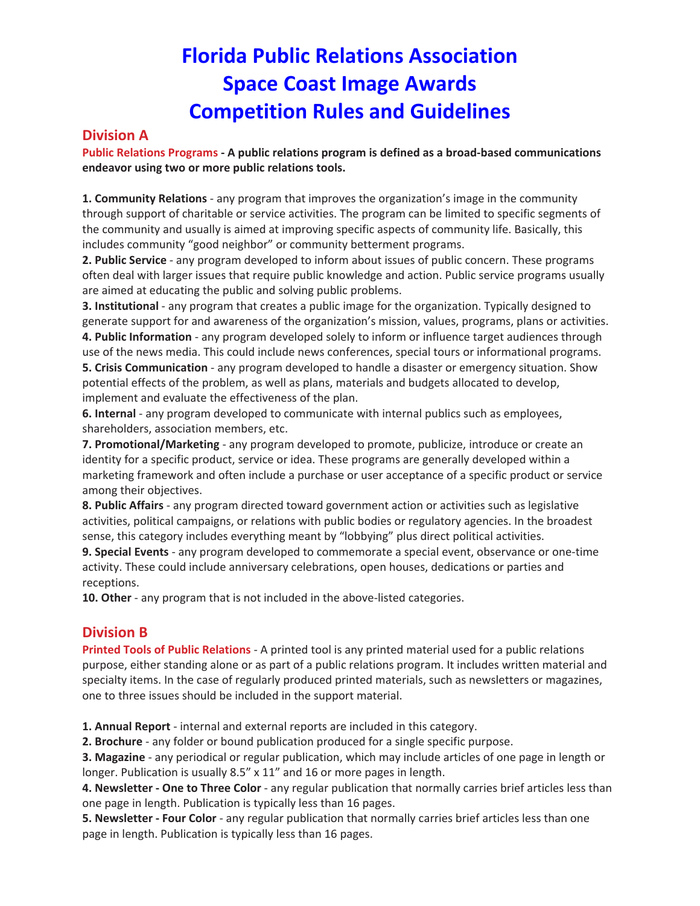### **Division A**

**Public Relations Programs ‐ A public relations program is defined as a broad‐based communications endeavor using two or more public relations tools.**

**1. Community Relations** ‐ any program that improves the organization's image in the community through support of charitable or service activities. The program can be limited to specific segments of the community and usually is aimed at improving specific aspects of community life. Basically, this includes community "good neighbor" or community betterment programs.

**2. Public Service** ‐ any program developed to inform about issues of public concern. These programs often deal with larger issues that require public knowledge and action. Public service programs usually are aimed at educating the public and solving public problems.

**3. Institutional** ‐ any program that creates a public image for the organization. Typically designed to generate support for and awareness of the organization's mission, values, programs, plans or activities. **4. Public Information** ‐ any program developed solely to inform or influence target audiences through use of the news media. This could include news conferences, special tours or informational programs. **5. Crisis Communication** ‐ any program developed to handle a disaster or emergency situation. Show potential effects of the problem, as well as plans, materials and budgets allocated to develop,

implement and evaluate the effectiveness of the plan.

**6. Internal** ‐ any program developed to communicate with internal publics such as employees, shareholders, association members, etc.

**7. Promotional/Marketing** ‐ any program developed to promote, publicize, introduce or create an identity for a specific product, service or idea. These programs are generally developed within a marketing framework and often include a purchase or user acceptance of a specific product or service among their objectives.

**8. Public Affairs** ‐ any program directed toward government action or activities such as legislative activities, political campaigns, or relations with public bodies or regulatory agencies. In the broadest sense, this category includes everything meant by "lobbying" plus direct political activities.

**9. Special Events** ‐ any program developed to commemorate a special event, observance or one‐time activity. These could include anniversary celebrations, open houses, dedications or parties and receptions.

10. Other - any program that is not included in the above-listed categories.

## **Division B**

**Printed Tools of Public Relations** ‐ A printed tool is any printed material used for a public relations purpose, either standing alone or as part of a public relations program. It includes written material and specialty items. In the case of regularly produced printed materials, such as newsletters or magazines, one to three issues should be included in the support material.

**1. Annual Report** ‐ internal and external reports are included in this category.

**2. Brochure** ‐ any folder or bound publication produced for a single specific purpose.

**3. Magazine** ‐ any periodical or regular publication, which may include articles of one page in length or longer. Publication is usually 8.5" x 11" and 16 or more pages in length.

**4. Newsletter ‐ One to Three Color** ‐ any regular publication that normally carries brief articles less than one page in length. Publication is typically less than 16 pages.

**5. Newsletter ‐ Four Color** ‐ any regular publication that normally carries brief articles less than one page in length. Publication is typically less than 16 pages.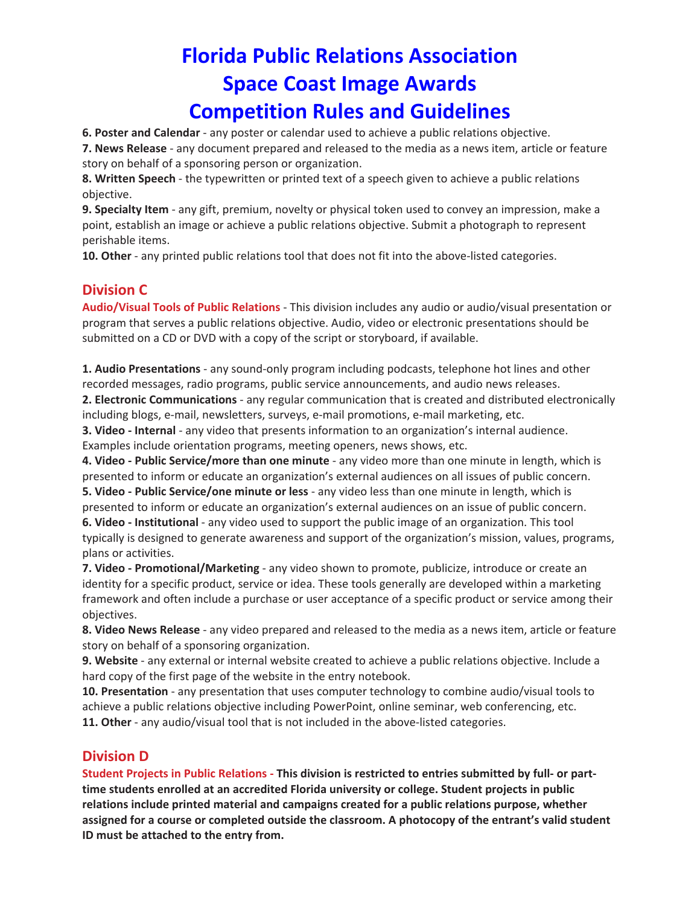**6. Poster and Calendar** ‐ any poster or calendar used to achieve a public relations objective.

**7. News Release** ‐ any document prepared and released to the media as a news item, article or feature story on behalf of a sponsoring person or organization.

**8. Written Speech** ‐ the typewritten or printed text of a speech given to achieve a public relations objective.

**9. Specialty Item** ‐ any gift, premium, novelty or physical token used to convey an impression, make a point, establish an image or achieve a public relations objective. Submit a photograph to represent perishable items.

**10. Other** - any printed public relations tool that does not fit into the above-listed categories.

## **Division C**

**Audio/Visual Tools of Public Relations** ‐ This division includes any audio or audio/visual presentation or program that serves a public relations objective. Audio, video or electronic presentations should be submitted on a CD or DVD with a copy of the script or storyboard, if available.

**1. Audio Presentations** ‐ any sound‐only program including podcasts, telephone hot lines and other recorded messages, radio programs, public service announcements, and audio news releases.

**2. Electronic Communications** ‐ any regular communication that is created and distributed electronically including blogs, e‐mail, newsletters, surveys, e‐mail promotions, e‐mail marketing, etc.

**3. Video ‐ Internal** ‐ any video that presents information to an organization's internal audience. Examples include orientation programs, meeting openers, news shows, etc.

**4. Video ‐ Public Service/more than one minute** ‐ any video more than one minute in length, which is presented to inform or educate an organization's external audiences on all issues of public concern.

**5. Video ‐ Public Service/one minute or less** ‐ any video less than one minute in length, which is presented to inform or educate an organization's external audiences on an issue of public concern. **6. Video ‐ Institutional** ‐ any video used to support the public image of an organization. This tool typically is designed to generate awareness and support of the organization's mission, values, programs, plans or activities.

**7. Video ‐ Promotional/Marketing** ‐ any video shown to promote, publicize, introduce or create an identity for a specific product, service or idea. These tools generally are developed within a marketing framework and often include a purchase or user acceptance of a specific product or service among their objectives.

**8. Video News Release** ‐ any video prepared and released to the media as a news item, article or feature story on behalf of a sponsoring organization.

**9. Website** ‐ any external or internal website created to achieve a public relations objective. Include a hard copy of the first page of the website in the entry notebook.

**10. Presentation** ‐ any presentation that uses computer technology to combine audio/visual tools to achieve a public relations objective including PowerPoint, online seminar, web conferencing, etc. **11. Other** - any audio/visual tool that is not included in the above-listed categories.

#### **Division D**

Student Projects in Public Relations - This division is restricted to entries submitted by full- or part**time students enrolled at an accredited Florida university or college. Student projects in public relations include printed material and campaigns created for a public relations purpose, whether assigned for a course or completed outside the classroom. A photocopy of the entrant's valid student ID must be attached to the entry from.**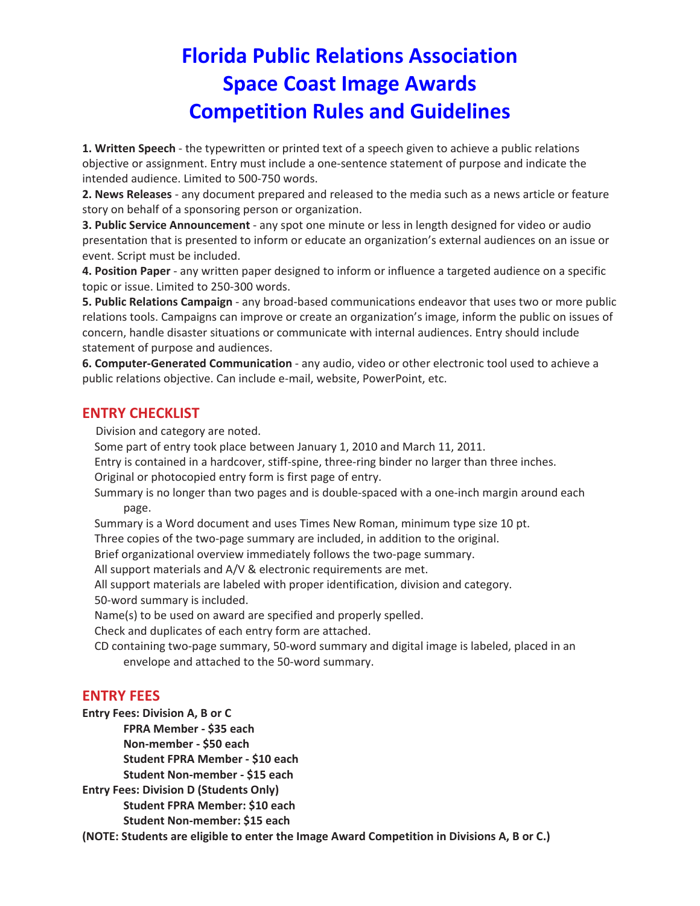**1. Written Speech** ‐ the typewritten or printed text of a speech given to achieve a public relations objective or assignment. Entry must include a one‐sentence statement of purpose and indicate the intended audience. Limited to 500‐750 words.

**2. News Releases** ‐ any document prepared and released to the media such as a news article or feature story on behalf of a sponsoring person or organization.

**3. Public Service Announcement** ‐ any spot one minute or less in length designed for video or audio presentation that is presented to inform or educate an organization's external audiences on an issue or event. Script must be included.

**4. Position Paper** ‐ any written paper designed to inform or influence a targeted audience on a specific topic or issue. Limited to 250‐300 words.

**5. Public Relations Campaign** ‐ any broad‐based communications endeavor that uses two or more public relations tools. Campaigns can improve or create an organization's image, inform the public on issues of concern, handle disaster situations or communicate with internal audiences. Entry should include statement of purpose and audiences.

**6. Computer‐Generated Communication** ‐ any audio, video or other electronic tool used to achieve a public relations objective. Can include e‐mail, website, PowerPoint, etc.

#### **ENTRY CHECKLIST**

Division and category are noted.

Some part of entry took place between January 1, 2010 and March 11, 2011.

Entry is contained in a hardcover, stiff‐spine, three‐ring binder no larger than three inches.

Original or photocopied entry form is first page of entry.

Summary is no longer than two pages and is double‐spaced with a one‐inch margin around each page.

Summary is a Word document and uses Times New Roman, minimum type size 10 pt.

Three copies of the two‐page summary are included, in addition to the original.

Brief organizational overview immediately follows the two-page summary.

All support materials and A/V & electronic requirements are met.

All support materials are labeled with proper identification, division and category.

50‐word summary is included.

Name(s) to be used on award are specified and properly spelled.

Check and duplicates of each entry form are attached.

CD containing two‐page summary, 50‐word summary and digital image is labeled, placed in an envelope and attached to the 50‐word summary.

#### **ENTRY FEES**

**Entry Fees: Division A, B or C**

**FPRA Member ‐ \$35 each**

**Non‐member ‐ \$50 each**

**Student FPRA Member ‐ \$10 each**

**Student Non‐member ‐ \$15 each**

**Entry Fees: Division D (Students Only)**

**Student FPRA Member: \$10 each**

**Student Non‐member: \$15 each**

**(NOTE: Students are eligible to enter the Image Award Competition in Divisions A, B or C.)**